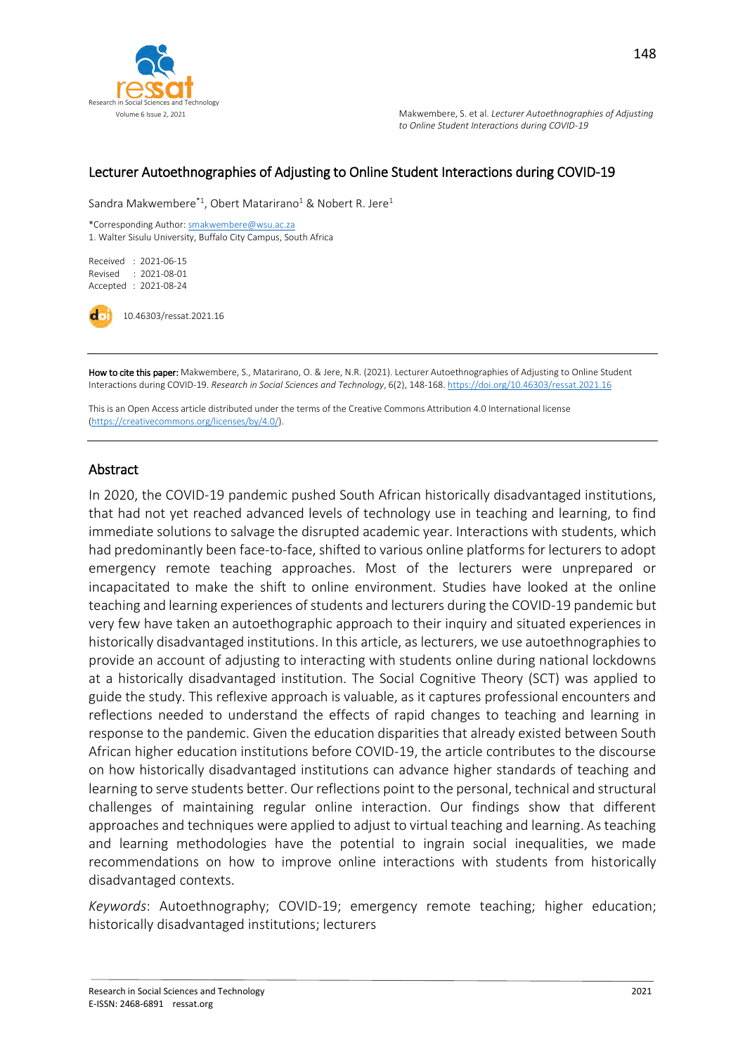

#### Lecturer Autoethnographies of Adjusting to Online Student Interactions during COVID-19

Sandra Makwembere<sup>\*1</sup>, Obert Matarirano<sup>1</sup> & Nobert R. Jere<sup>1</sup>

\*Corresponding Author[: smakwembere@wsu.ac.za](mailto:smakwembere@wsu.ac.za) 1. Walter Sisulu University, Buffalo City Campus, South Africa

Received : 2021-06-15 Revised : 2021-08-01 Accepted : 2021-08-24

10.46303/ressat.2021.16

How to cite this paper: Makwembere, S., Matarirano, O. & Jere, N.R. (2021). Lecturer Autoethnographies of Adjusting to Online Student Interactions during COVID-19. *Research in Social Sciences and Technology*, 6(2), 148-168[. https://doi.org/10.46303/ressat.2021.16](https://doi.org/10.46303/ressat.2021.16)

This is an Open Access article distributed under the terms of the Creative Commons Attribution 4.0 International license [\(https://creativecommons.org/licenses/by/4.0/\).](https://creativecommons.org/licenses/by/4.0/)

#### Abstract

In 2020, the COVID-19 pandemic pushed South African historically disadvantaged institutions, that had not yet reached advanced levels of technology use in teaching and learning, to find immediate solutions to salvage the disrupted academic year. Interactions with students, which had predominantly been face-to-face, shifted to various online platforms for lecturers to adopt emergency remote teaching approaches. Most of the lecturers were unprepared or incapacitated to make the shift to online environment. Studies have looked at the online teaching and learning experiences of students and lecturers during the COVID-19 pandemic but very few have taken an autoethographic approach to their inquiry and situated experiences in historically disadvantaged institutions. In this article, as lecturers, we use autoethnographies to provide an account of adjusting to interacting with students online during national lockdowns at a historically disadvantaged institution. The Social Cognitive Theory (SCT) was applied to guide the study. This reflexive approach is valuable, as it captures professional encounters and reflections needed to understand the effects of rapid changes to teaching and learning in response to the pandemic. Given the education disparities that already existed between South African higher education institutions before COVID-19, the article contributes to the discourse on how historically disadvantaged institutions can advance higher standards of teaching and learning to serve students better. Our reflections point to the personal, technical and structural challenges of maintaining regular online interaction. Our findings show that different approaches and techniques were applied to adjust to virtual teaching and learning. As teaching and learning methodologies have the potential to ingrain social inequalities, we made recommendations on how to improve online interactions with students from historically disadvantaged contexts.

*Keywords*: Autoethnography; COVID-19; emergency remote teaching; higher education; historically disadvantaged institutions; lecturers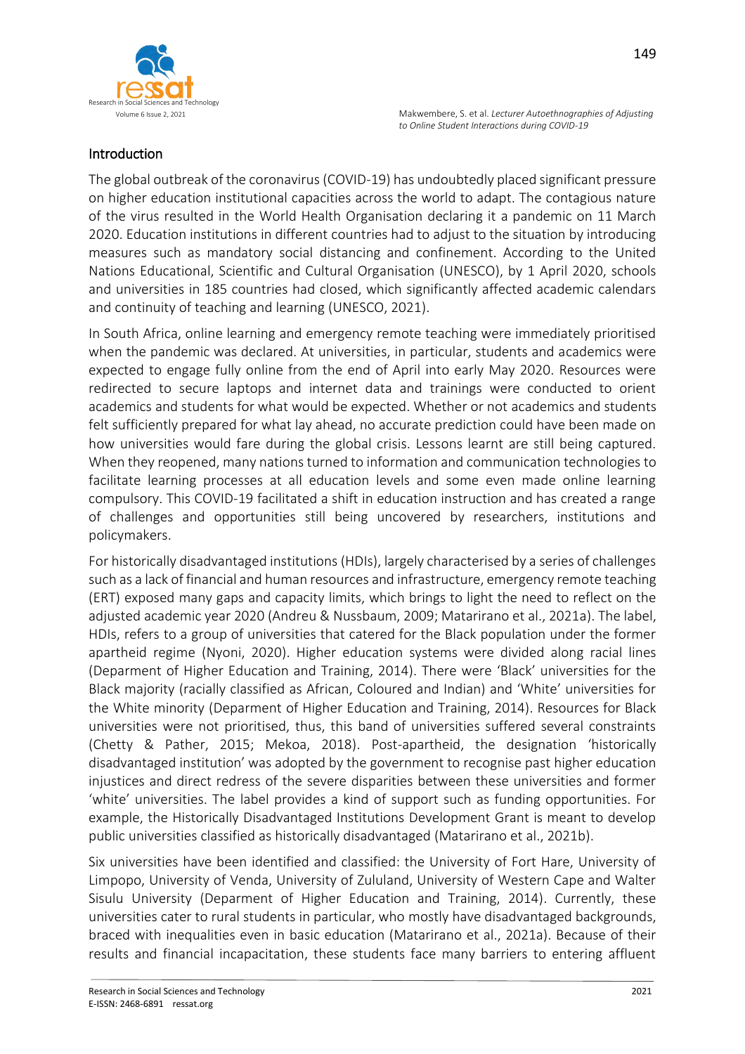



## Introduction

The global outbreak of the coronavirus (COVID-19) has undoubtedly placed significant pressure on higher education institutional capacities across the world to adapt. The contagious nature of the virus resulted in the World Health Organisation declaring it a pandemic on 11 March 2020. Education institutions in different countries had to adjust to the situation by introducing measures such as mandatory social distancing and confinement. According to the United Nations Educational, Scientific and Cultural Organisation (UNESCO), by 1 April 2020, schools and universities in 185 countries had closed, which significantly affected academic calendars and continuity of teaching and learning (UNESCO, 2021).

In South Africa, online learning and emergency remote teaching were immediately prioritised when the pandemic was declared. At universities, in particular, students and academics were expected to engage fully online from the end of April into early May 2020. Resources were redirected to secure laptops and internet data and trainings were conducted to orient academics and students for what would be expected. Whether or not academics and students felt sufficiently prepared for what lay ahead, no accurate prediction could have been made on how universities would fare during the global crisis. Lessons learnt are still being captured. When they reopened, many nations turned to information and communication technologies to facilitate learning processes at all education levels and some even made online learning compulsory. This COVID-19 facilitated a shift in education instruction and has created a range of challenges and opportunities still being uncovered by researchers, institutions and policymakers.

For historically disadvantaged institutions (HDIs), largely characterised by a series of challenges such as a lack of financial and human resources and infrastructure, emergency remote teaching (ERT) exposed many gaps and capacity limits, which brings to light the need to reflect on the adjusted academic year 2020 (Andreu & Nussbaum, 2009; Matarirano et al., 2021a). The label, HDIs, refers to a group of universities that catered for the Black population under the former apartheid regime (Nyoni, 2020). Higher education systems were divided along racial lines (Deparment of Higher Education and Training, 2014). There were 'Black' universities for the Black majority (racially classified as African, Coloured and Indian) and 'White' universities for the White minority (Deparment of Higher Education and Training, 2014). Resources for Black universities were not prioritised, thus, this band of universities suffered several constraints (Chetty & Pather, 2015; Mekoa, 2018). Post-apartheid, the designation 'historically disadvantaged institution' was adopted by the government to recognise past higher education injustices and direct redress of the severe disparities between these universities and former 'white' universities. The label provides a kind of support such as funding opportunities. For example, the Historically Disadvantaged Institutions Development Grant is meant to develop public universities classified as historically disadvantaged (Matarirano et al., 2021b).

Six universities have been identified and classified: the University of Fort Hare, University of Limpopo, University of Venda, University of Zululand, University of Western Cape and Walter Sisulu University (Deparment of Higher Education and Training, 2014). Currently, these universities cater to rural students in particular, who mostly have disadvantaged backgrounds, braced with inequalities even in basic education (Matarirano et al., 2021a). Because of their results and financial incapacitation, these students face many barriers to entering affluent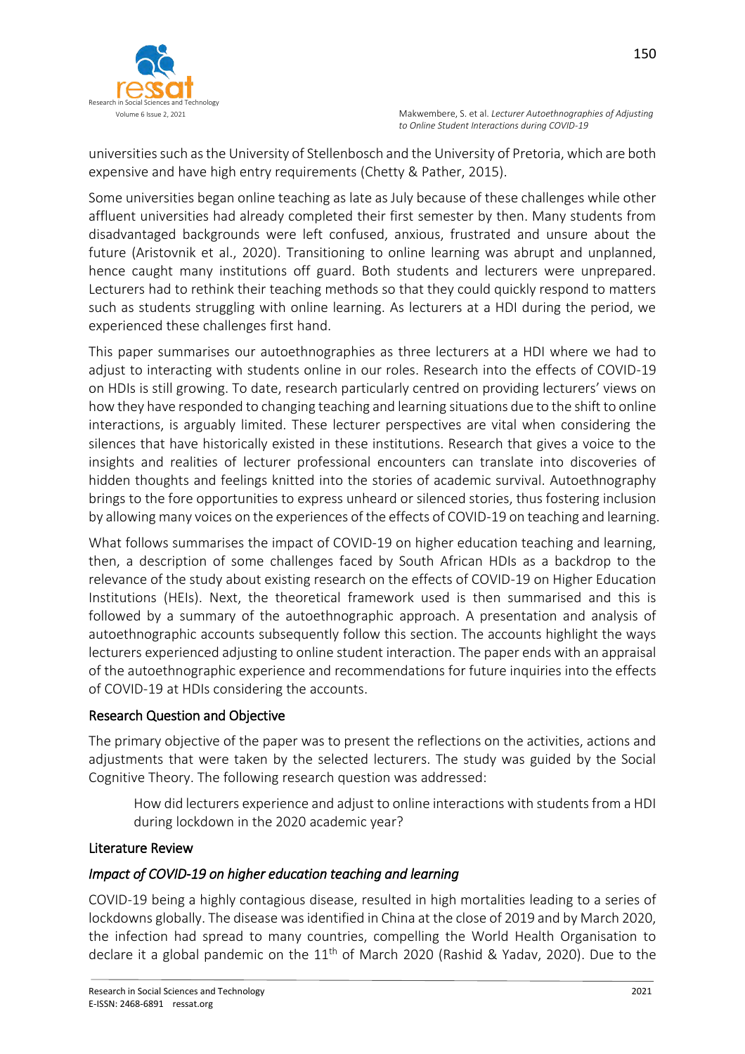

universities such as the University of Stellenbosch and the University of Pretoria, which are both expensive and have high entry requirements (Chetty & Pather, 2015).

Some universities began online teaching as late as July because of these challenges while other affluent universities had already completed their first semester by then. Many students from disadvantaged backgrounds were left confused, anxious, frustrated and unsure about the future (Aristovnik et al., 2020). Transitioning to online learning was abrupt and unplanned, hence caught many institutions off guard. Both students and lecturers were unprepared. Lecturers had to rethink their teaching methods so that they could quickly respond to matters such as students struggling with online learning. As lecturers at a HDI during the period, we experienced these challenges first hand.

This paper summarises our autoethnographies as three lecturers at a HDI where we had to adjust to interacting with students online in our roles. Research into the effects of COVID-19 on HDIs is still growing. To date, research particularly centred on providing lecturers' views on how they have responded to changing teaching and learning situations due to the shift to online interactions, is arguably limited. These lecturer perspectives are vital when considering the silences that have historically existed in these institutions. Research that gives a voice to the insights and realities of lecturer professional encounters can translate into discoveries of hidden thoughts and feelings knitted into the stories of academic survival. Autoethnography brings to the fore opportunities to express unheard or silenced stories, thus fostering inclusion by allowing many voices on the experiences of the effects of COVID-19 on teaching and learning.

What follows summarises the impact of COVID-19 on higher education teaching and learning, then, a description of some challenges faced by South African HDIs as a backdrop to the relevance of the study about existing research on the effects of COVID-19 on Higher Education Institutions (HEIs). Next, the theoretical framework used is then summarised and this is followed by a summary of the autoethnographic approach. A presentation and analysis of autoethnographic accounts subsequently follow this section. The accounts highlight the ways lecturers experienced adjusting to online student interaction. The paper ends with an appraisal of the autoethnographic experience and recommendations for future inquiries into the effects of COVID-19 at HDIs considering the accounts.

# Research Question and Objective

The primary objective of the paper was to present the reflections on the activities, actions and adjustments that were taken by the selected lecturers. The study was guided by the Social Cognitive Theory. The following research question was addressed:

How did lecturers experience and adjust to online interactions with students from a HDI during lockdown in the 2020 academic year?

# Literature Review

# *Impact of COVID-19 on higher education teaching and learning*

COVID-19 being a highly contagious disease, resulted in high mortalities leading to a series of lockdowns globally. The disease was identified in China at the close of 2019 and by March 2020, the infection had spread to many countries, compelling the World Health Organisation to declare it a global pandemic on the  $11<sup>th</sup>$  of March 2020 (Rashid & Yadav, 2020). Due to the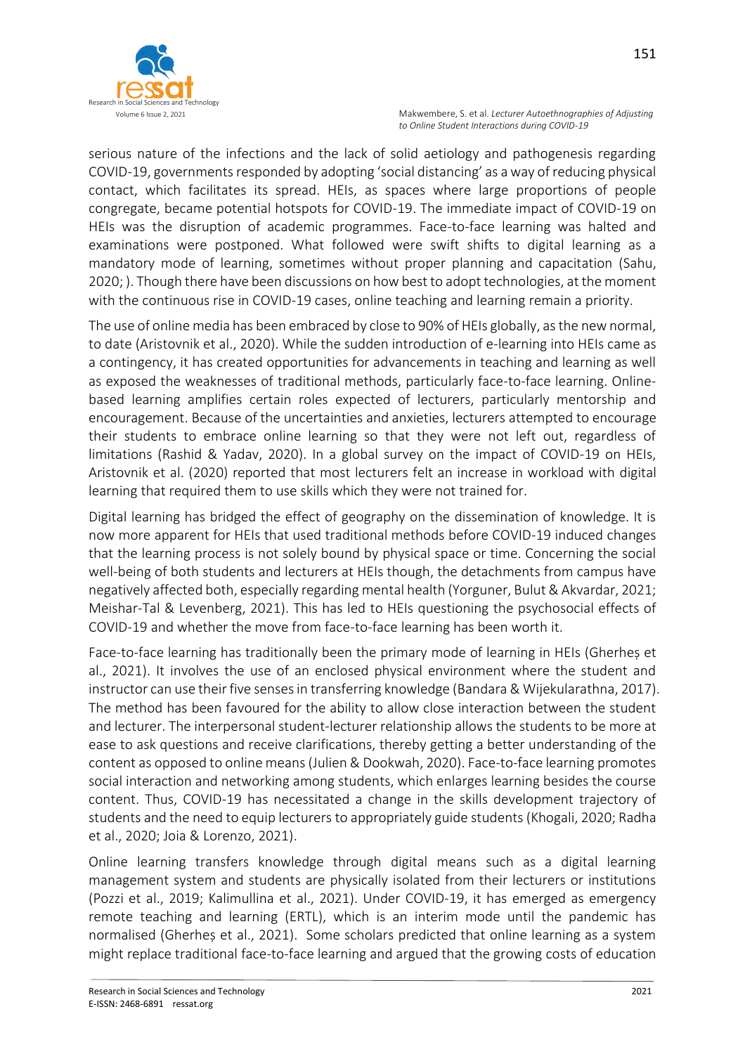

151

serious nature of the infections and the lack of solid aetiology and pathogenesis regarding COVID-19, governments responded by adopting 'social distancing' as a way of reducing physical contact, which facilitates its spread. HEIs, as spaces where large proportions of people congregate, became potential hotspots for COVID-19. The immediate impact of COVID-19 on HEIs was the disruption of academic programmes. Face-to-face learning was halted and examinations were postponed. What followed were swift shifts to digital learning as a mandatory mode of learning, sometimes without proper planning and capacitation (Sahu, 2020; ). Though there have been discussions on how best to adopt technologies, at the moment with the continuous rise in COVID-19 cases, online teaching and learning remain a priority.

The use of online media has been embraced by close to 90% of HEIs globally, as the new normal, to date (Aristovnik et al., 2020). While the sudden introduction of e-learning into HEIs came as a contingency, it has created opportunities for advancements in teaching and learning as well as exposed the weaknesses of traditional methods, particularly face-to-face learning. Onlinebased learning amplifies certain roles expected of lecturers, particularly mentorship and encouragement. Because of the uncertainties and anxieties, lecturers attempted to encourage their students to embrace online learning so that they were not left out, regardless of limitations (Rashid & Yadav, 2020). In a global survey on the impact of COVID-19 on HEIs, Aristovnik et al. (2020) reported that most lecturers felt an increase in workload with digital learning that required them to use skills which they were not trained for.

Digital learning has bridged the effect of geography on the dissemination of knowledge. It is now more apparent for HEIs that used traditional methods before COVID-19 induced changes that the learning process is not solely bound by physical space or time. Concerning the social well-being of both students and lecturers at HEIs though, the detachments from campus have negatively affected both, especially regarding mental health (Yorguner, Bulut & Akvardar, 2021; Meishar-Tal & Levenberg, 2021). This has led to HEIs questioning the psychosocial effects of COVID-19 and whether the move from face-to-face learning has been worth it.

Face-to-face learning has traditionally been the primary mode of learning in HEIs (Gherheș et al., 2021). It involves the use of an enclosed physical environment where the student and instructor can use their five senses in transferring knowledge (Bandara & Wijekularathna, 2017). The method has been favoured for the ability to allow close interaction between the student and lecturer. The interpersonal student-lecturer relationship allows the students to be more at ease to ask questions and receive clarifications, thereby getting a better understanding of the content as opposed to online means (Julien & Dookwah, 2020). Face-to-face learning promotes social interaction and networking among students, which enlarges learning besides the course content. Thus, COVID-19 has necessitated a change in the skills development trajectory of students and the need to equip lecturers to appropriately guide students (Khogali, 2020; Radha et al., 2020; Joia & Lorenzo, 2021).

Online learning transfers knowledge through digital means such as a digital learning management system and students are physically isolated from their lecturers or institutions (Pozzi et al., 2019; Kalimullina et al., 2021). Under COVID-19, it has emerged as emergency remote teaching and learning (ERTL), which is an interim mode until the pandemic has normalised (Gherheș et al., 2021). Some scholars predicted that online learning as a system might replace traditional face-to-face learning and argued that the growing costs of education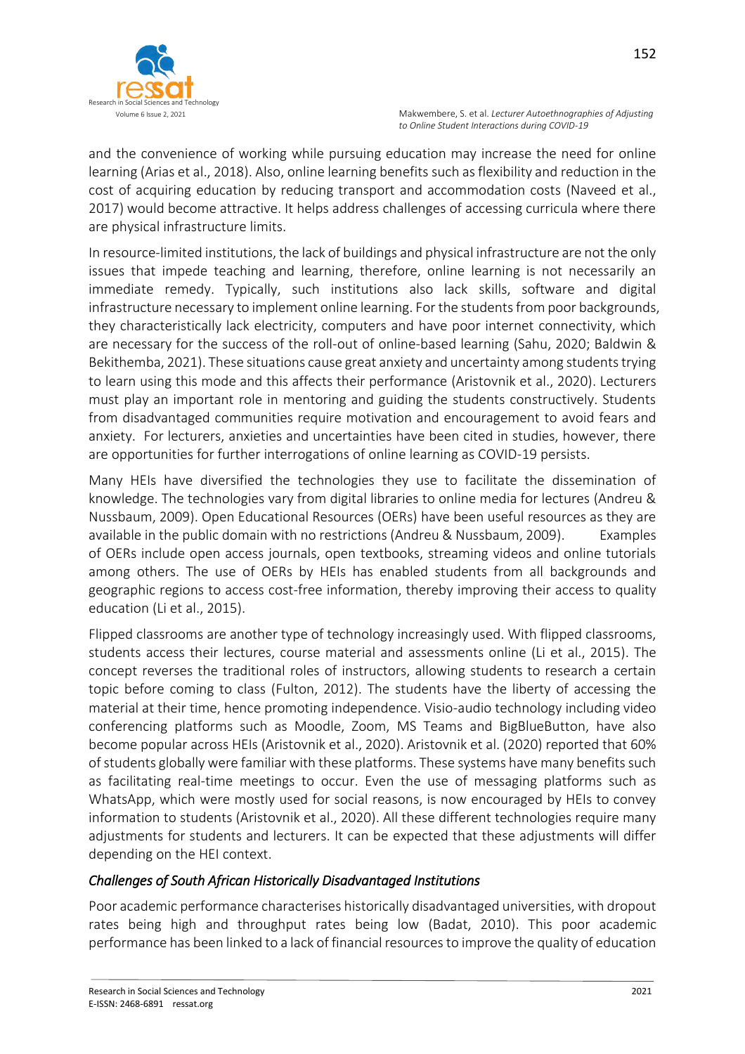

and the convenience of working while pursuing education may increase the need for online learning (Arias et al., 2018). Also, online learning benefits such as flexibility and reduction in the cost of acquiring education by reducing transport and accommodation costs (Naveed et al., 2017) would become attractive. It helps address challenges of accessing curricula where there are physical infrastructure limits.

In resource-limited institutions, the lack of buildings and physical infrastructure are not the only issues that impede teaching and learning, therefore, online learning is not necessarily an immediate remedy. Typically, such institutions also lack skills, software and digital infrastructure necessary to implement online learning. For the students from poor backgrounds, they characteristically lack electricity, computers and have poor internet connectivity, which are necessary for the success of the roll-out of online-based learning (Sahu, 2020; Baldwin & Bekithemba, 2021). These situations cause great anxiety and uncertainty among students trying to learn using this mode and this affects their performance (Aristovnik et al., 2020). Lecturers must play an important role in mentoring and guiding the students constructively. Students from disadvantaged communities require motivation and encouragement to avoid fears and anxiety. For lecturers, anxieties and uncertainties have been cited in studies, however, there are opportunities for further interrogations of online learning as COVID-19 persists.

Many HEIs have diversified the technologies they use to facilitate the dissemination of knowledge. The technologies vary from digital libraries to online media for lectures (Andreu & Nussbaum, 2009). Open Educational Resources (OERs) have been useful resources as they are available in the public domain with no restrictions (Andreu & Nussbaum, 2009). Examples of OERs include open access journals, open textbooks, streaming videos and online tutorials among others. The use of OERs by HEIs has enabled students from all backgrounds and geographic regions to access cost-free information, thereby improving their access to quality education (Li et al., 2015).

Flipped classrooms are another type of technology increasingly used. With flipped classrooms, students access their lectures, course material and assessments online (Li et al., 2015). The concept reverses the traditional roles of instructors, allowing students to research a certain topic before coming to class (Fulton, 2012). The students have the liberty of accessing the material at their time, hence promoting independence. Visio-audio technology including video conferencing platforms such as Moodle, Zoom, MS Teams and BigBlueButton, have also become popular across HEIs (Aristovnik et al., 2020). Aristovnik et al. (2020) reported that 60% of students globally were familiar with these platforms. These systems have many benefits such as facilitating real-time meetings to occur. Even the use of messaging platforms such as WhatsApp, which were mostly used for social reasons, is now encouraged by HEIs to convey information to students (Aristovnik et al., 2020). All these different technologies require many adjustments for students and lecturers. It can be expected that these adjustments will differ depending on the HEI context.

# *Challenges of South African Historically Disadvantaged Institutions*

Poor academic performance characterises historically disadvantaged universities, with dropout rates being high and throughput rates being low (Badat, 2010). This poor academic performance has been linked to a lack of financial resources to improve the quality of education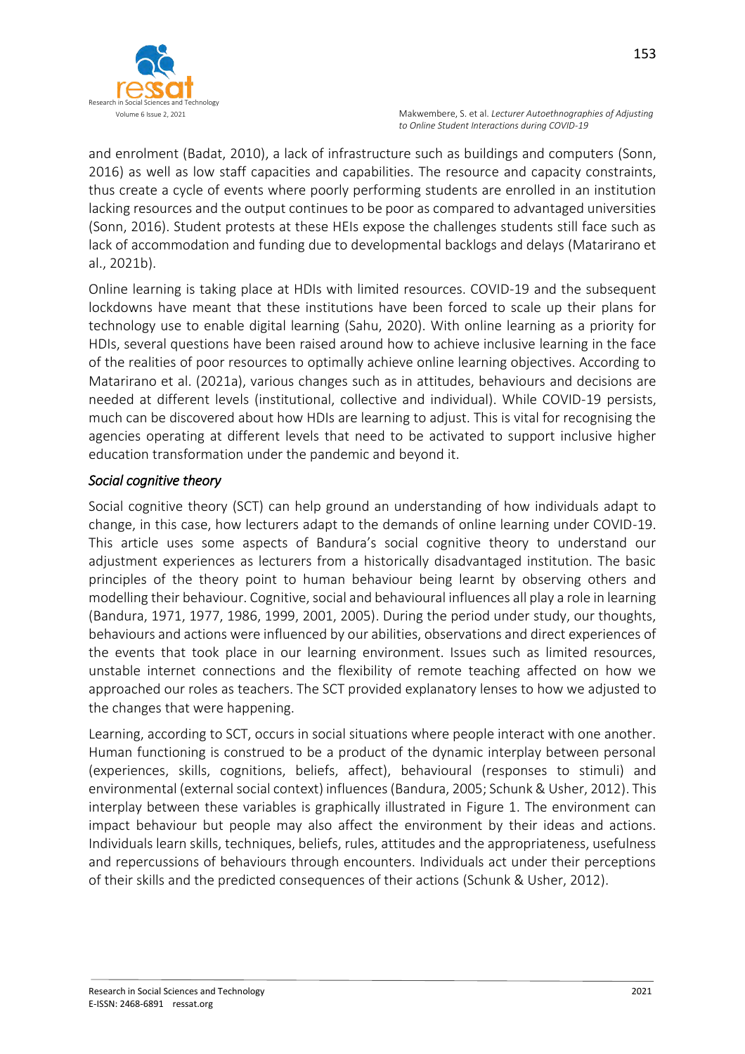

153

and enrolment (Badat, 2010), a lack of infrastructure such as buildings and computers (Sonn, 2016) as well as low staff capacities and capabilities. The resource and capacity constraints, thus create a cycle of events where poorly performing students are enrolled in an institution lacking resources and the output continues to be poor as compared to advantaged universities (Sonn, 2016). Student protests at these HEIs expose the challenges students still face such as lack of accommodation and funding due to developmental backlogs and delays (Matarirano et al., 2021b).

Online learning is taking place at HDIs with limited resources. COVID-19 and the subsequent lockdowns have meant that these institutions have been forced to scale up their plans for technology use to enable digital learning (Sahu, 2020). With online learning as a priority for HDIs, several questions have been raised around how to achieve inclusive learning in the face of the realities of poor resources to optimally achieve online learning objectives. According to Matarirano et al. (2021a), various changes such as in attitudes, behaviours and decisions are needed at different levels (institutional, collective and individual). While COVID-19 persists, much can be discovered about how HDIs are learning to adjust. This is vital for recognising the agencies operating at different levels that need to be activated to support inclusive higher education transformation under the pandemic and beyond it.

# *Social cognitive theory*

Social cognitive theory (SCT) can help ground an understanding of how individuals adapt to change, in this case, how lecturers adapt to the demands of online learning under COVID-19. This article uses some aspects of Bandura's social cognitive theory to understand our adjustment experiences as lecturers from a historically disadvantaged institution. The basic principles of the theory point to human behaviour being learnt by observing others and modelling their behaviour. Cognitive, social and behavioural influences all play a role in learning (Bandura, 1971, 1977, 1986, 1999, 2001, 2005). During the period under study, our thoughts, behaviours and actions were influenced by our abilities, observations and direct experiences of the events that took place in our learning environment. Issues such as limited resources, unstable internet connections and the flexibility of remote teaching affected on how we approached our roles as teachers. The SCT provided explanatory lenses to how we adjusted to the changes that were happening.

Learning, according to SCT, occurs in social situations where people interact with one another. Human functioning is construed to be a product of the dynamic interplay between personal (experiences, skills, cognitions, beliefs, affect), behavioural (responses to stimuli) and environmental (external social context) influences (Bandura, 2005; Schunk & Usher, 2012). This interplay between these variables is graphically illustrated in Figure 1. The environment can impact behaviour but people may also affect the environment by their ideas and actions. Individuals learn skills, techniques, beliefs, rules, attitudes and the appropriateness, usefulness and repercussions of behaviours through encounters. Individuals act under their perceptions of their skills and the predicted consequences of their actions (Schunk & Usher, 2012).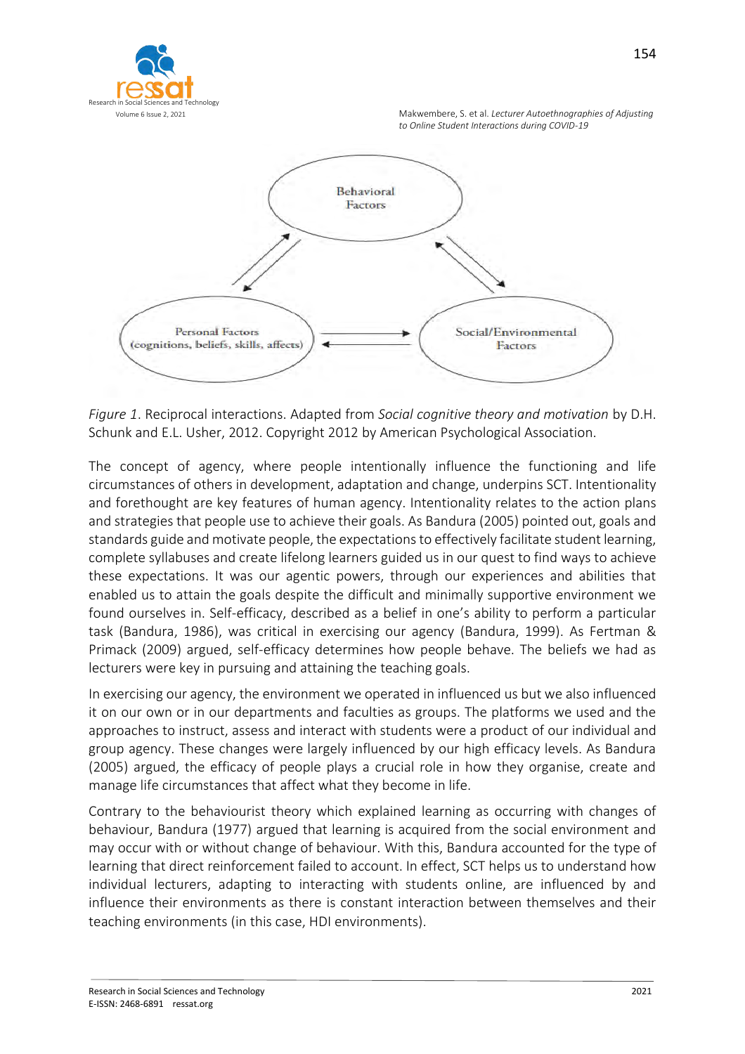



*Figure 1*. Reciprocal interactions. Adapted from *Social cognitive theory and motivation* by D.H. Schunk and E.L. Usher, 2012. Copyright 2012 by American Psychological Association.

The concept of agency, where people intentionally influence the functioning and life circumstances of others in development, adaptation and change, underpins SCT. Intentionality and forethought are key features of human agency. Intentionality relates to the action plans and strategies that people use to achieve their goals. As Bandura (2005) pointed out, goals and standards guide and motivate people, the expectations to effectively facilitate student learning, complete syllabuses and create lifelong learners guided us in our quest to find ways to achieve these expectations. It was our agentic powers, through our experiences and abilities that enabled us to attain the goals despite the difficult and minimally supportive environment we found ourselves in. Self-efficacy, described as a belief in one's ability to perform a particular task (Bandura, 1986), was critical in exercising our agency (Bandura, 1999). As Fertman & Primack (2009) argued, self-efficacy determines how people behave. The beliefs we had as lecturers were key in pursuing and attaining the teaching goals.

In exercising our agency, the environment we operated in influenced us but we also influenced it on our own or in our departments and faculties as groups. The platforms we used and the approaches to instruct, assess and interact with students were a product of our individual and group agency. These changes were largely influenced by our high efficacy levels. As Bandura (2005) argued, the efficacy of people plays a crucial role in how they organise, create and manage life circumstances that affect what they become in life.

Contrary to the behaviourist theory which explained learning as occurring with changes of behaviour, Bandura (1977) argued that learning is acquired from the social environment and may occur with or without change of behaviour. With this, Bandura accounted for the type of learning that direct reinforcement failed to account. In effect, SCT helps us to understand how individual lecturers, adapting to interacting with students online, are influenced by and influence their environments as there is constant interaction between themselves and their teaching environments (in this case, HDI environments).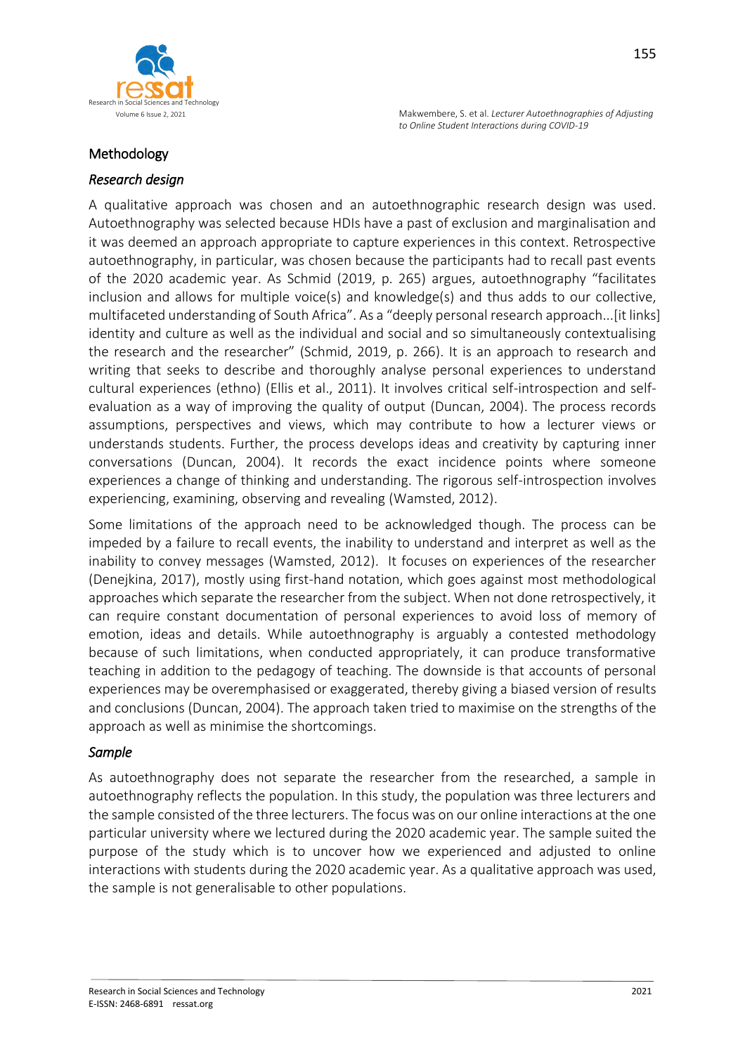

## Methodology

## *Research design*

A qualitative approach was chosen and an autoethnographic research design was used. Autoethnography was selected because HDIs have a past of exclusion and marginalisation and it was deemed an approach appropriate to capture experiences in this context. Retrospective autoethnography, in particular, was chosen because the participants had to recall past events of the 2020 academic year. As Schmid (2019, p. 265) argues, autoethnography "facilitates inclusion and allows for multiple voice(s) and knowledge(s) and thus adds to our collective, multifaceted understanding of South Africa". As a "deeply personal research approach...[it links] identity and culture as well as the individual and social and so simultaneously contextualising the research and the researcher" (Schmid, 2019, p. 266). It is an approach to research and writing that seeks to describe and thoroughly analyse personal experiences to understand cultural experiences (ethno) (Ellis et al., 2011). It involves critical self-introspection and selfevaluation as a way of improving the quality of output (Duncan, 2004). The process records assumptions, perspectives and views, which may contribute to how a lecturer views or understands students. Further, the process develops ideas and creativity by capturing inner conversations (Duncan, 2004). It records the exact incidence points where someone experiences a change of thinking and understanding. The rigorous self-introspection involves experiencing, examining, observing and revealing (Wamsted, 2012).

Some limitations of the approach need to be acknowledged though. The process can be impeded by a failure to recall events, the inability to understand and interpret as well as the inability to convey messages (Wamsted, 2012). It focuses on experiences of the researcher (Denejkina, 2017), mostly using first-hand notation, which goes against most methodological approaches which separate the researcher from the subject. When not done retrospectively, it can require constant documentation of personal experiences to avoid loss of memory of emotion, ideas and details. While autoethnography is arguably a contested methodology because of such limitations, when conducted appropriately, it can produce transformative teaching in addition to the pedagogy of teaching. The downside is that accounts of personal experiences may be overemphasised or exaggerated, thereby giving a biased version of results and conclusions (Duncan, 2004). The approach taken tried to maximise on the strengths of the approach as well as minimise the shortcomings.

### *Sample*

As autoethnography does not separate the researcher from the researched, a sample in autoethnography reflects the population. In this study, the population was three lecturers and the sample consisted of the three lecturers. The focus was on our online interactions at the one particular university where we lectured during the 2020 academic year. The sample suited the purpose of the study which is to uncover how we experienced and adjusted to online interactions with students during the 2020 academic year. As a qualitative approach was used, the sample is not generalisable to other populations.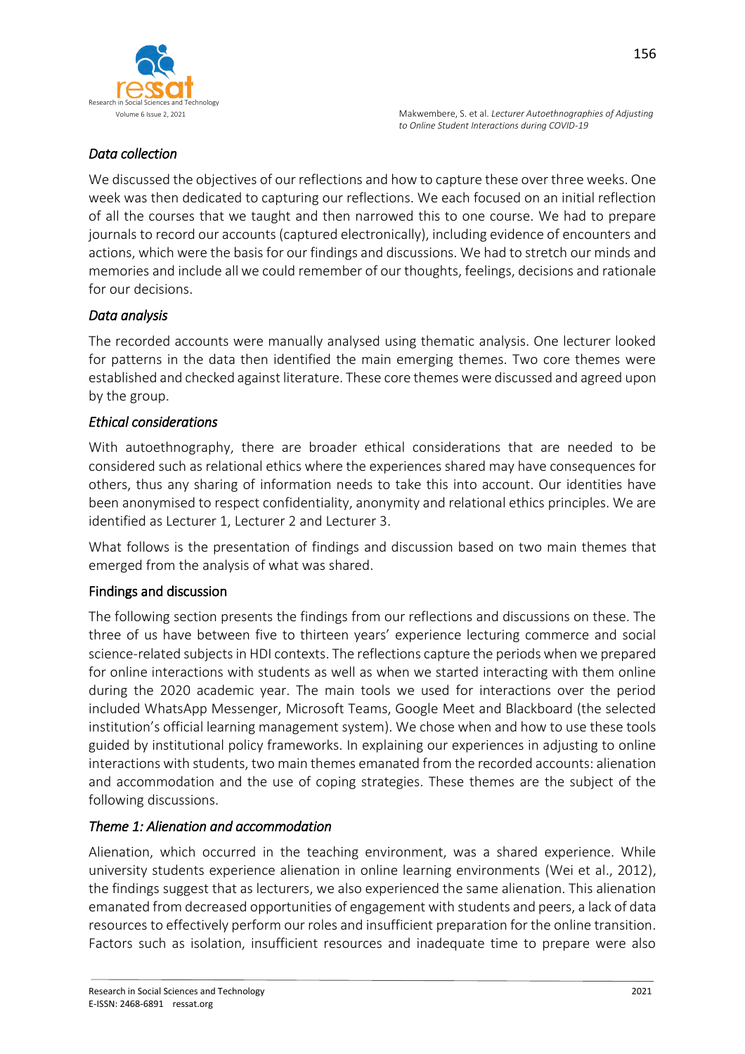

# *Data collection*

We discussed the objectives of our reflections and how to capture these over three weeks. One week was then dedicated to capturing our reflections. We each focused on an initial reflection of all the courses that we taught and then narrowed this to one course. We had to prepare journals to record our accounts (captured electronically), including evidence of encounters and actions, which were the basis for our findings and discussions. We had to stretch our minds and memories and include all we could remember of our thoughts, feelings, decisions and rationale for our decisions.

# *Data analysis*

The recorded accounts were manually analysed using thematic analysis. One lecturer looked for patterns in the data then identified the main emerging themes. Two core themes were established and checked against literature. These core themes were discussed and agreed upon by the group.

## *Ethical considerations*

With autoethnography, there are broader ethical considerations that are needed to be considered such as relational ethics where the experiences shared may have consequences for others, thus any sharing of information needs to take this into account. Our identities have been anonymised to respect confidentiality, anonymity and relational ethics principles. We are identified as Lecturer 1, Lecturer 2 and Lecturer 3.

What follows is the presentation of findings and discussion based on two main themes that emerged from the analysis of what was shared.

# Findings and discussion

The following section presents the findings from our reflections and discussions on these. The three of us have between five to thirteen years' experience lecturing commerce and social science-related subjects in HDI contexts. The reflections capture the periods when we prepared for online interactions with students as well as when we started interacting with them online during the 2020 academic year. The main tools we used for interactions over the period included WhatsApp Messenger, Microsoft Teams, Google Meet and Blackboard (the selected institution's official learning management system). We chose when and how to use these tools guided by institutional policy frameworks. In explaining our experiences in adjusting to online interactions with students, two main themes emanated from the recorded accounts: alienation and accommodation and the use of coping strategies. These themes are the subject of the following discussions.

# *Theme 1: Alienation and accommodation*

Alienation, which occurred in the teaching environment, was a shared experience. While university students experience alienation in online learning environments (Wei et al., 2012), the findings suggest that as lecturers, we also experienced the same alienation. This alienation emanated from decreased opportunities of engagement with students and peers, a lack of data resources to effectively perform our roles and insufficient preparation for the online transition. Factors such as isolation, insufficient resources and inadequate time to prepare were also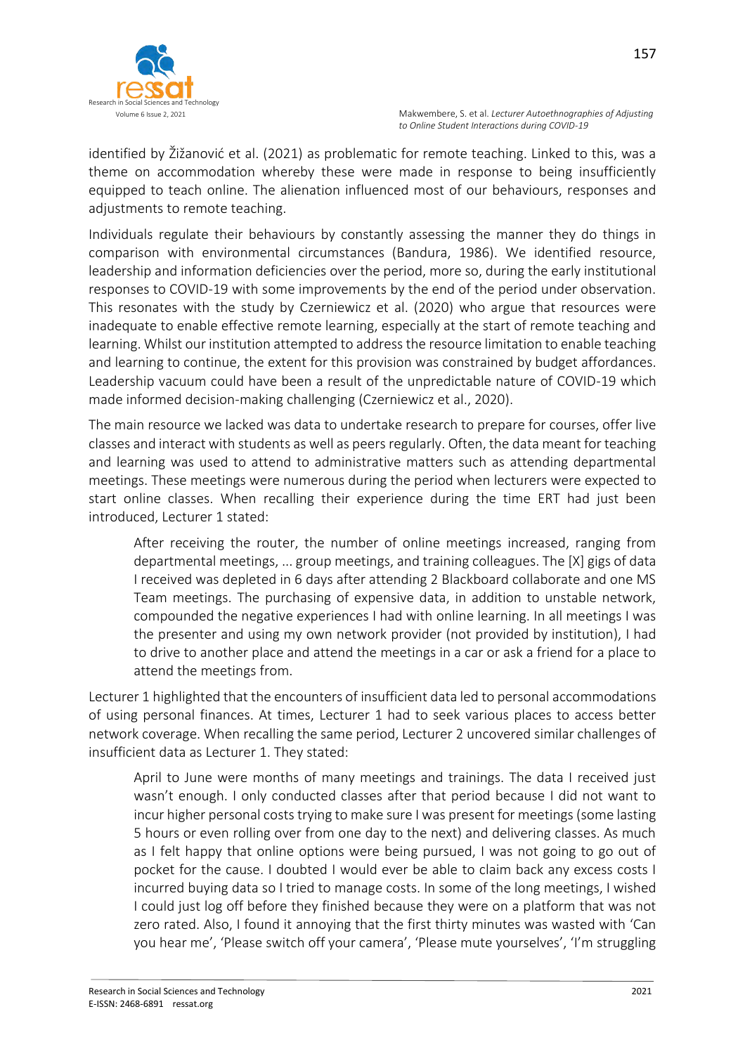identified by Žižanović et al. (2021) as problematic for remote teaching. Linked to this, was a theme on accommodation whereby these were made in response to being insufficiently equipped to teach online. The alienation influenced most of our behaviours, responses and adjustments to remote teaching.

Individuals regulate their behaviours by constantly assessing the manner they do things in comparison with environmental circumstances (Bandura, 1986). We identified resource, leadership and information deficiencies over the period, more so, during the early institutional responses to COVID-19 with some improvements by the end of the period under observation. This resonates with the study by Czerniewicz et al. (2020) who argue that resources were inadequate to enable effective remote learning, especially at the start of remote teaching and learning. Whilst our institution attempted to address the resource limitation to enable teaching and learning to continue, the extent for this provision was constrained by budget affordances. Leadership vacuum could have been a result of the unpredictable nature of COVID-19 which made informed decision-making challenging (Czerniewicz et al., 2020).

The main resource we lacked was data to undertake research to prepare for courses, offer live classes and interact with students as well as peers regularly. Often, the data meant for teaching and learning was used to attend to administrative matters such as attending departmental meetings. These meetings were numerous during the period when lecturers were expected to start online classes. When recalling their experience during the time ERT had just been introduced, Lecturer 1 stated:

After receiving the router, the number of online meetings increased, ranging from departmental meetings, ... group meetings, and training colleagues. The [X] gigs of data I received was depleted in 6 days after attending 2 Blackboard collaborate and one MS Team meetings. The purchasing of expensive data, in addition to unstable network, compounded the negative experiences I had with online learning. In all meetings I was the presenter and using my own network provider (not provided by institution), I had to drive to another place and attend the meetings in a car or ask a friend for a place to attend the meetings from.

Lecturer 1 highlighted that the encounters of insufficient data led to personal accommodations of using personal finances. At times, Lecturer 1 had to seek various places to access better network coverage. When recalling the same period, Lecturer 2 uncovered similar challenges of insufficient data as Lecturer 1. They stated:

April to June were months of many meetings and trainings. The data I received just wasn't enough. I only conducted classes after that period because I did not want to incur higher personal costs trying to make sure I was present for meetings (some lasting 5 hours or even rolling over from one day to the next) and delivering classes. As much as I felt happy that online options were being pursued, I was not going to go out of pocket for the cause. I doubted I would ever be able to claim back any excess costs I incurred buying data so I tried to manage costs. In some of the long meetings, I wished I could just log off before they finished because they were on a platform that was not zero rated. Also, I found it annoying that the first thirty minutes was wasted with 'Can you hear me', 'Please switch off your camera', 'Please mute yourselves', 'I'm struggling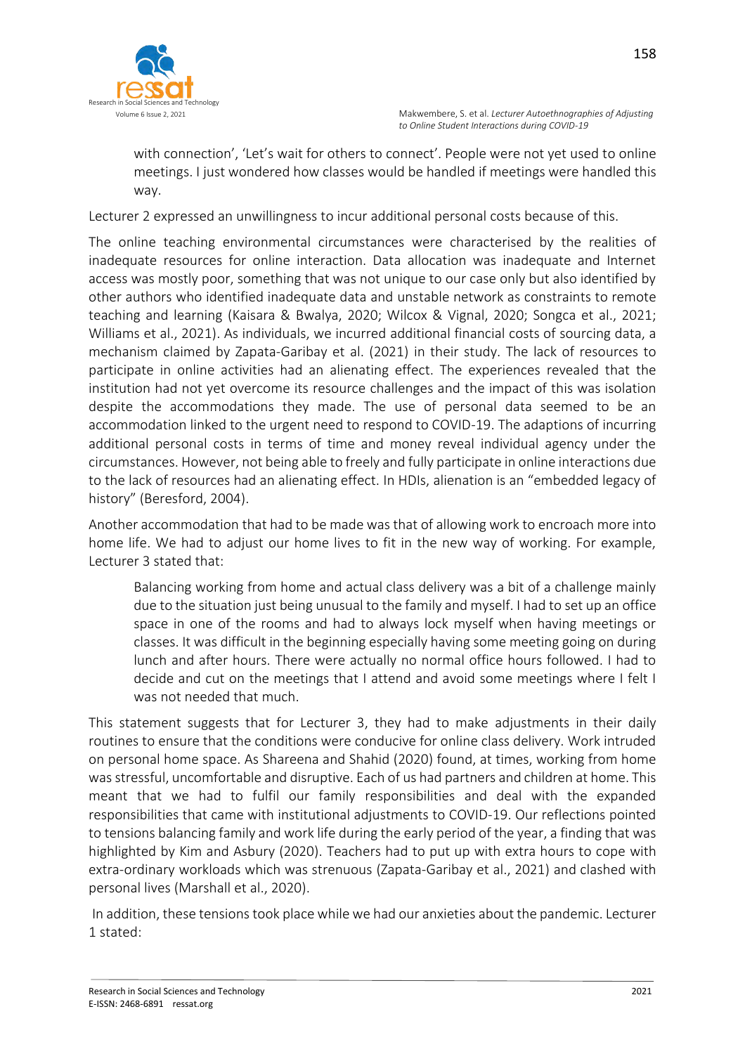

with connection', 'Let's wait for others to connect'. People were not yet used to online meetings. I just wondered how classes would be handled if meetings were handled this way.

Lecturer 2 expressed an unwillingness to incur additional personal costs because of this.

The online teaching environmental circumstances were characterised by the realities of inadequate resources for online interaction. Data allocation was inadequate and Internet access was mostly poor, something that was not unique to our case only but also identified by other authors who identified inadequate data and unstable network as constraints to remote teaching and learning (Kaisara & Bwalya, 2020; Wilcox & Vignal, 2020; Songca et al., 2021; Williams et al., 2021). As individuals, we incurred additional financial costs of sourcing data, a mechanism claimed by Zapata-Garibay et al. (2021) in their study. The lack of resources to participate in online activities had an alienating effect. The experiences revealed that the institution had not yet overcome its resource challenges and the impact of this was isolation despite the accommodations they made. The use of personal data seemed to be an accommodation linked to the urgent need to respond to COVID-19. The adaptions of incurring additional personal costs in terms of time and money reveal individual agency under the circumstances. However, not being able to freely and fully participate in online interactions due to the lack of resources had an alienating effect. In HDIs, alienation is an "embedded legacy of history" (Beresford, 2004).

Another accommodation that had to be made was that of allowing work to encroach more into home life. We had to adjust our home lives to fit in the new way of working. For example, Lecturer 3 stated that:

Balancing working from home and actual class delivery was a bit of a challenge mainly due to the situation just being unusual to the family and myself. I had to set up an office space in one of the rooms and had to always lock myself when having meetings or classes. It was difficult in the beginning especially having some meeting going on during lunch and after hours. There were actually no normal office hours followed. I had to decide and cut on the meetings that I attend and avoid some meetings where I felt I was not needed that much.

This statement suggests that for Lecturer 3, they had to make adjustments in their daily routines to ensure that the conditions were conducive for online class delivery. Work intruded on personal home space. As Shareena and Shahid (2020) found, at times, working from home was stressful, uncomfortable and disruptive. Each of us had partners and children at home. This meant that we had to fulfil our family responsibilities and deal with the expanded responsibilities that came with institutional adjustments to COVID-19. Our reflections pointed to tensions balancing family and work life during the early period of the year, a finding that was highlighted by Kim and Asbury (2020). Teachers had to put up with extra hours to cope with extra-ordinary workloads which was strenuous (Zapata-Garibay et al., 2021) and clashed with personal lives (Marshall et al., 2020).

In addition, these tensions took place while we had our anxieties about the pandemic. Lecturer 1 stated: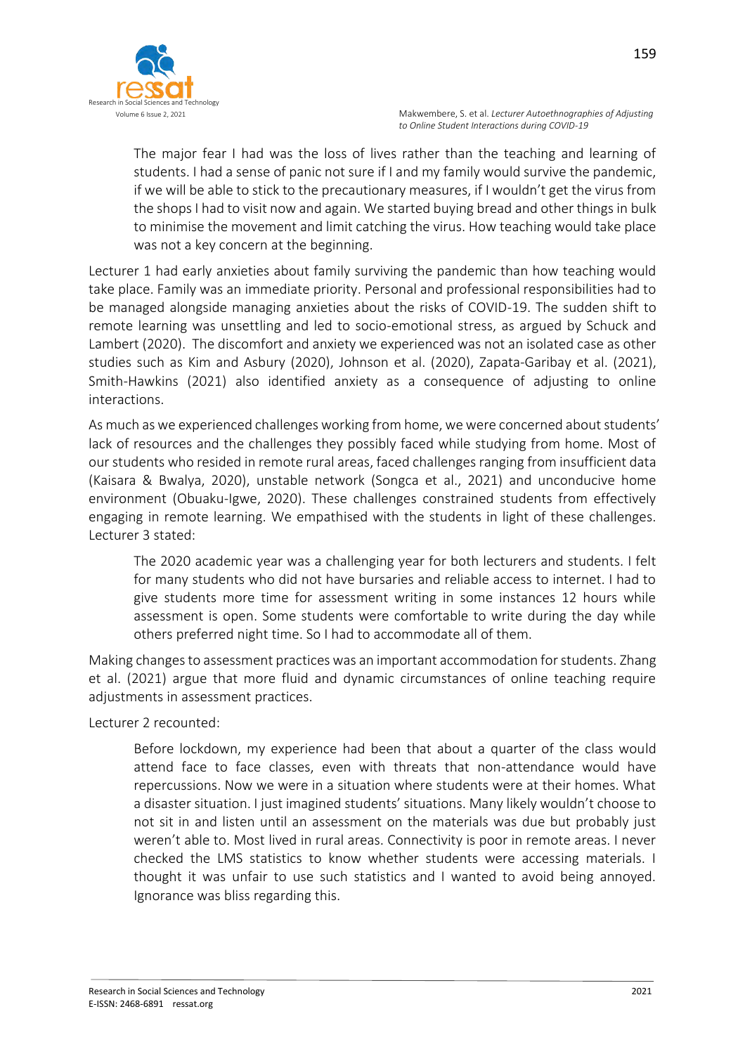

The major fear I had was the loss of lives rather than the teaching and learning of students. I had a sense of panic not sure if I and my family would survive the pandemic, if we will be able to stick to the precautionary measures, if I wouldn't get the virus from the shops I had to visit now and again. We started buying bread and other things in bulk to minimise the movement and limit catching the virus. How teaching would take place was not a key concern at the beginning.

Lecturer 1 had early anxieties about family surviving the pandemic than how teaching would take place. Family was an immediate priority. Personal and professional responsibilities had to be managed alongside managing anxieties about the risks of COVID-19. The sudden shift to remote learning was unsettling and led to socio-emotional stress, as argued by Schuck and Lambert (2020). The discomfort and anxiety we experienced was not an isolated case as other studies such as Kim and Asbury (2020), Johnson et al. (2020), Zapata-Garibay et al. (2021), Smith-Hawkins (2021) also identified anxiety as a consequence of adjusting to online interactions.

As much as we experienced challenges working from home, we were concerned about students' lack of resources and the challenges they possibly faced while studying from home. Most of our students who resided in remote rural areas, faced challenges ranging from insufficient data (Kaisara & Bwalya, 2020), unstable network (Songca et al., 2021) and unconducive home environment (Obuaku-Igwe, 2020). These challenges constrained students from effectively engaging in remote learning. We empathised with the students in light of these challenges. Lecturer 3 stated:

The 2020 academic year was a challenging year for both lecturers and students. I felt for many students who did not have bursaries and reliable access to internet. I had to give students more time for assessment writing in some instances 12 hours while assessment is open. Some students were comfortable to write during the day while others preferred night time. So I had to accommodate all of them.

Making changes to assessment practices was an important accommodation for students. Zhang et al. (2021) argue that more fluid and dynamic circumstances of online teaching require adjustments in assessment practices.

Lecturer 2 recounted:

Before lockdown, my experience had been that about a quarter of the class would attend face to face classes, even with threats that non-attendance would have repercussions. Now we were in a situation where students were at their homes. What a disaster situation. I just imagined students' situations. Many likely wouldn't choose to not sit in and listen until an assessment on the materials was due but probably just weren't able to. Most lived in rural areas. Connectivity is poor in remote areas. I never checked the LMS statistics to know whether students were accessing materials. I thought it was unfair to use such statistics and I wanted to avoid being annoyed. Ignorance was bliss regarding this.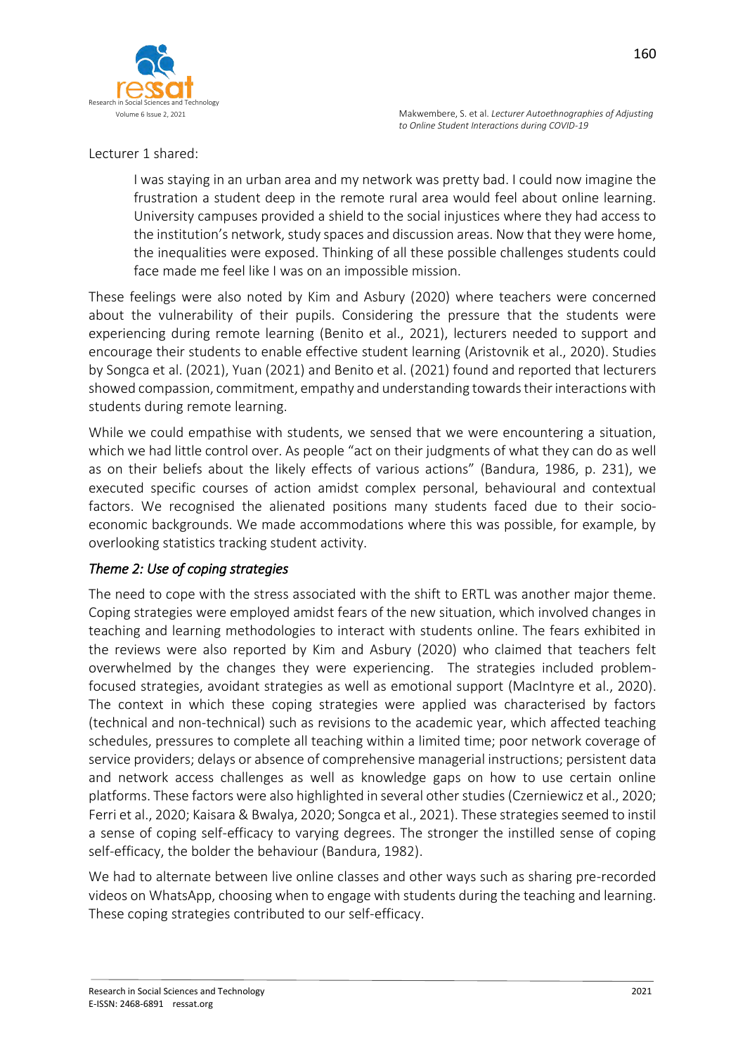

### Lecturer 1 shared:

I was staying in an urban area and my network was pretty bad. I could now imagine the frustration a student deep in the remote rural area would feel about online learning. University campuses provided a shield to the social injustices where they had access to the institution's network, study spaces and discussion areas. Now that they were home, the inequalities were exposed. Thinking of all these possible challenges students could face made me feel like I was on an impossible mission.

These feelings were also noted by Kim and Asbury (2020) where teachers were concerned about the vulnerability of their pupils. Considering the pressure that the students were experiencing during remote learning (Benito et al., 2021), lecturers needed to support and encourage their students to enable effective student learning (Aristovnik et al., 2020). Studies by Songca et al. (2021), Yuan (2021) and Benito et al. (2021) found and reported that lecturers showed compassion, commitment, empathy and understanding towards their interactions with students during remote learning.

While we could empathise with students, we sensed that we were encountering a situation, which we had little control over. As people "act on their judgments of what they can do as well as on their beliefs about the likely effects of various actions" (Bandura, 1986, p. 231), we executed specific courses of action amidst complex personal, behavioural and contextual factors. We recognised the alienated positions many students faced due to their socioeconomic backgrounds. We made accommodations where this was possible, for example, by overlooking statistics tracking student activity.

# *Theme 2: Use of coping strategies*

The need to cope with the stress associated with the shift to ERTL was another major theme. Coping strategies were employed amidst fears of the new situation, which involved changes in teaching and learning methodologies to interact with students online. The fears exhibited in the reviews were also reported by Kim and Asbury (2020) who claimed that teachers felt overwhelmed by the changes they were experiencing. The strategies included problemfocused strategies, avoidant strategies as well as emotional support (MacIntyre et al., 2020). The context in which these coping strategies were applied was characterised by factors (technical and non-technical) such as revisions to the academic year, which affected teaching schedules, pressures to complete all teaching within a limited time; poor network coverage of service providers; delays or absence of comprehensive managerial instructions; persistent data and network access challenges as well as knowledge gaps on how to use certain online platforms. These factors were also highlighted in several other studies (Czerniewicz et al., 2020; Ferri et al., 2020; Kaisara & Bwalya, 2020; Songca et al., 2021). These strategies seemed to instil a sense of coping self-efficacy to varying degrees. The stronger the instilled sense of coping self-efficacy, the bolder the behaviour (Bandura, 1982).

We had to alternate between live online classes and other ways such as sharing pre-recorded videos on WhatsApp, choosing when to engage with students during the teaching and learning. These coping strategies contributed to our self-efficacy.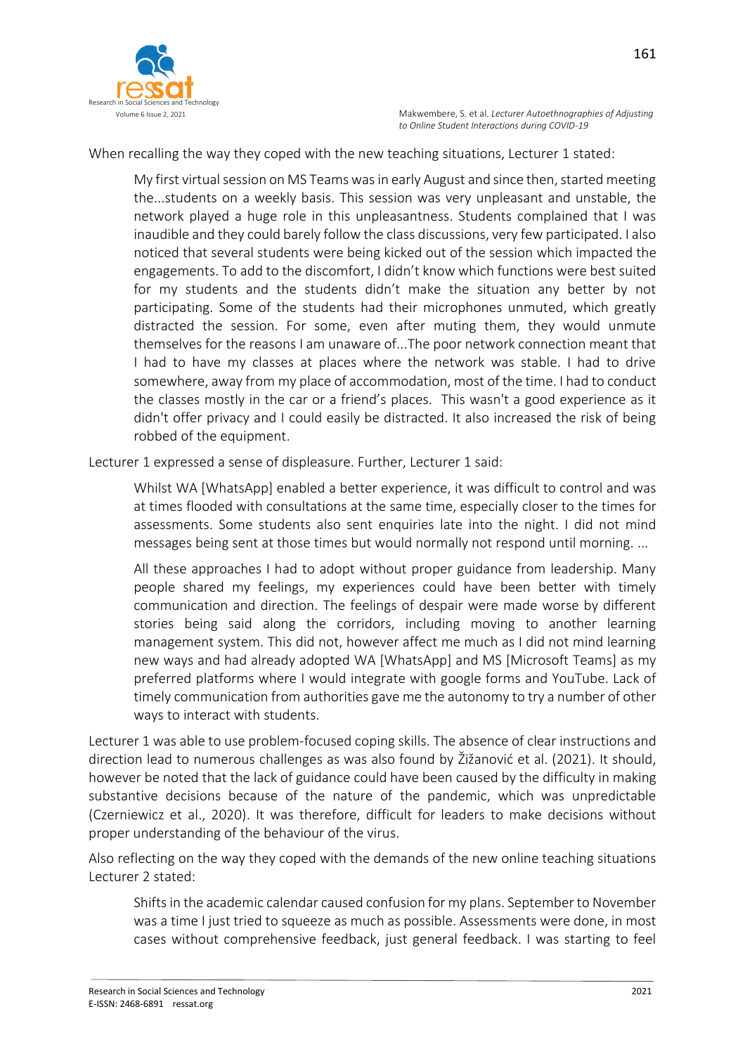

When recalling the way they coped with the new teaching situations, Lecturer 1 stated:

My first virtual session on MS Teams was in early August and since then, started meeting the...students on a weekly basis. This session was very unpleasant and unstable, the network played a huge role in this unpleasantness. Students complained that I was inaudible and they could barely follow the class discussions, very few participated. I also noticed that several students were being kicked out of the session which impacted the engagements. To add to the discomfort, I didn't know which functions were best suited for my students and the students didn't make the situation any better by not participating. Some of the students had their microphones unmuted, which greatly distracted the session. For some, even after muting them, they would unmute themselves for the reasons I am unaware of...The poor network connection meant that I had to have my classes at places where the network was stable. I had to drive somewhere, away from my place of accommodation, most of the time. I had to conduct the classes mostly in the car or a friend's places. This wasn't a good experience as it didn't offer privacy and I could easily be distracted. It also increased the risk of being robbed of the equipment.

Lecturer 1 expressed a sense of displeasure. Further, Lecturer 1 said:

Whilst WA [WhatsApp] enabled a better experience, it was difficult to control and was at times flooded with consultations at the same time, especially closer to the times for assessments. Some students also sent enquiries late into the night. I did not mind messages being sent at those times but would normally not respond until morning. ...

All these approaches I had to adopt without proper guidance from leadership. Many people shared my feelings, my experiences could have been better with timely communication and direction. The feelings of despair were made worse by different stories being said along the corridors, including moving to another learning management system. This did not, however affect me much as I did not mind learning new ways and had already adopted WA [WhatsApp] and MS [Microsoft Teams] as my preferred platforms where I would integrate with google forms and YouTube. Lack of timely communication from authorities gave me the autonomy to try a number of other ways to interact with students.

Lecturer 1 was able to use problem-focused coping skills. The absence of clear instructions and direction lead to numerous challenges as was also found by Žižanović et al. (2021). It should, however be noted that the lack of guidance could have been caused by the difficulty in making substantive decisions because of the nature of the pandemic, which was unpredictable (Czerniewicz et al., 2020). It was therefore, difficult for leaders to make decisions without proper understanding of the behaviour of the virus.

Also reflecting on the way they coped with the demands of the new online teaching situations Lecturer 2 stated:

Shifts in the academic calendar caused confusion for my plans. September to November was a time I just tried to squeeze as much as possible. Assessments were done, in most cases without comprehensive feedback, just general feedback. I was starting to feel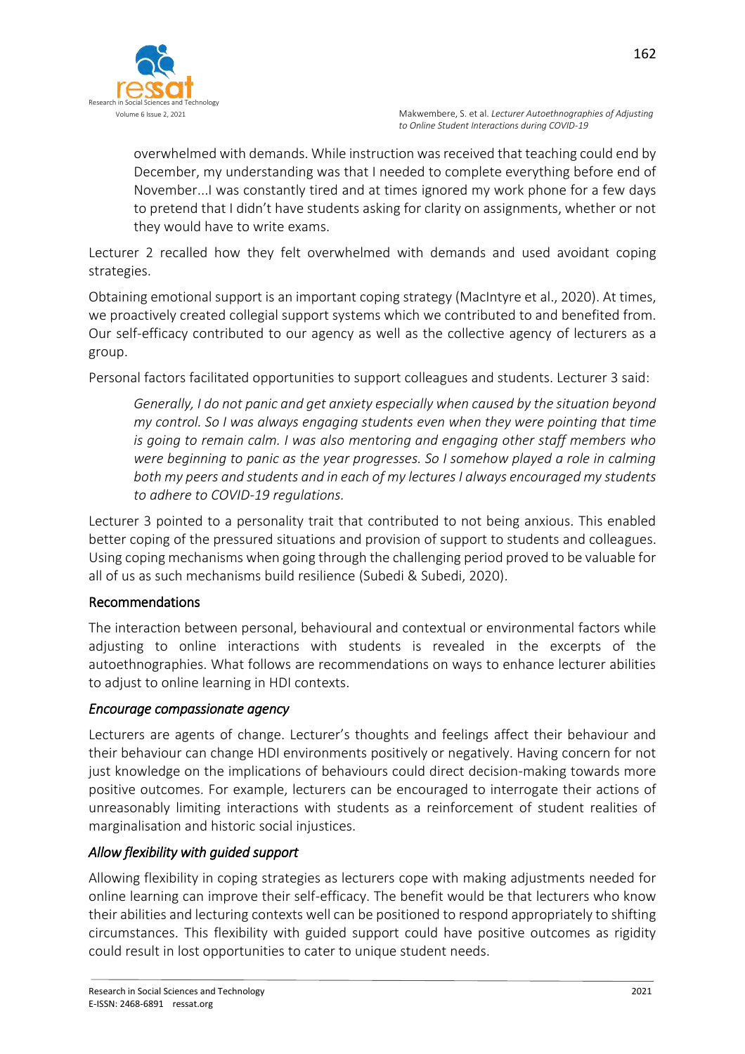

overwhelmed with demands. While instruction was received that teaching could end by December, my understanding was that I needed to complete everything before end of November...I was constantly tired and at times ignored my work phone for a few days to pretend that I didn't have students asking for clarity on assignments, whether or not they would have to write exams.

Lecturer 2 recalled how they felt overwhelmed with demands and used avoidant coping strategies.

Obtaining emotional support is an important coping strategy (MacIntyre et al., 2020). At times, we proactively created collegial support systems which we contributed to and benefited from. Our self-efficacy contributed to our agency as well as the collective agency of lecturers as a group.

Personal factors facilitated opportunities to support colleagues and students. Lecturer 3 said:

*Generally, I do not panic and get anxiety especially when caused by the situation beyond my control. So I was always engaging students even when they were pointing that time is going to remain calm. I was also mentoring and engaging other staff members who were beginning to panic as the year progresses. So I somehow played a role in calming both my peers and students and in each of my lectures I always encouraged my students to adhere to COVID-19 regulations.*

Lecturer 3 pointed to a personality trait that contributed to not being anxious. This enabled better coping of the pressured situations and provision of support to students and colleagues. Using coping mechanisms when going through the challenging period proved to be valuable for all of us as such mechanisms build resilience (Subedi & Subedi, 2020).

# Recommendations

The interaction between personal, behavioural and contextual or environmental factors while adjusting to online interactions with students is revealed in the excerpts of the autoethnographies. What follows are recommendations on ways to enhance lecturer abilities to adjust to online learning in HDI contexts.

### *Encourage compassionate agency*

Lecturers are agents of change. Lecturer's thoughts and feelings affect their behaviour and their behaviour can change HDI environments positively or negatively. Having concern for not just knowledge on the implications of behaviours could direct decision-making towards more positive outcomes. For example, lecturers can be encouraged to interrogate their actions of unreasonably limiting interactions with students as a reinforcement of student realities of marginalisation and historic social injustices.

# *Allow flexibility with guided support*

Allowing flexibility in coping strategies as lecturers cope with making adjustments needed for online learning can improve their self-efficacy. The benefit would be that lecturers who know their abilities and lecturing contexts well can be positioned to respond appropriately to shifting circumstances. This flexibility with guided support could have positive outcomes as rigidity could result in lost opportunities to cater to unique student needs.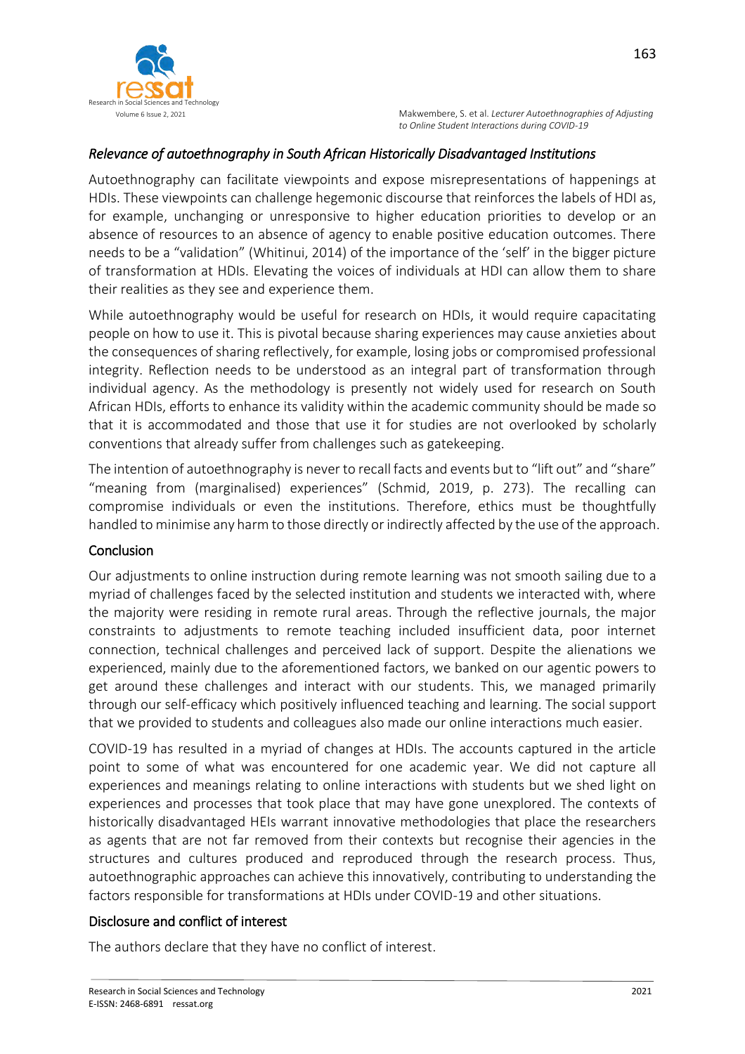

## *Relevance of autoethnography in South African Historically Disadvantaged Institutions*

Autoethnography can facilitate viewpoints and expose misrepresentations of happenings at HDIs. These viewpoints can challenge hegemonic discourse that reinforces the labels of HDI as, for example, unchanging or unresponsive to higher education priorities to develop or an absence of resources to an absence of agency to enable positive education outcomes. There needs to be a "validation" (Whitinui, 2014) of the importance of the 'self' in the bigger picture of transformation at HDIs. Elevating the voices of individuals at HDI can allow them to share their realities as they see and experience them.

While autoethnography would be useful for research on HDIs, it would require capacitating people on how to use it. This is pivotal because sharing experiences may cause anxieties about the consequences of sharing reflectively, for example, losing jobs or compromised professional integrity. Reflection needs to be understood as an integral part of transformation through individual agency. As the methodology is presently not widely used for research on South African HDIs, efforts to enhance its validity within the academic community should be made so that it is accommodated and those that use it for studies are not overlooked by scholarly conventions that already suffer from challenges such as gatekeeping.

The intention of autoethnography is never to recall facts and events but to "lift out" and "share" "meaning from (marginalised) experiences" (Schmid, 2019, p. 273). The recalling can compromise individuals or even the institutions. Therefore, ethics must be thoughtfully handled to minimise any harm to those directly or indirectly affected by the use of the approach.

#### Conclusion

Our adjustments to online instruction during remote learning was not smooth sailing due to a myriad of challenges faced by the selected institution and students we interacted with, where the majority were residing in remote rural areas. Through the reflective journals, the major constraints to adjustments to remote teaching included insufficient data, poor internet connection, technical challenges and perceived lack of support. Despite the alienations we experienced, mainly due to the aforementioned factors, we banked on our agentic powers to get around these challenges and interact with our students. This, we managed primarily through our self-efficacy which positively influenced teaching and learning. The social support that we provided to students and colleagues also made our online interactions much easier.

COVID-19 has resulted in a myriad of changes at HDIs. The accounts captured in the article point to some of what was encountered for one academic year. We did not capture all experiences and meanings relating to online interactions with students but we shed light on experiences and processes that took place that may have gone unexplored. The contexts of historically disadvantaged HEIs warrant innovative methodologies that place the researchers as agents that are not far removed from their contexts but recognise their agencies in the structures and cultures produced and reproduced through the research process. Thus, autoethnographic approaches can achieve this innovatively, contributing to understanding the factors responsible for transformations at HDIs under COVID-19 and other situations.

### Disclosure and conflict of interest

The authors declare that they have no conflict of interest.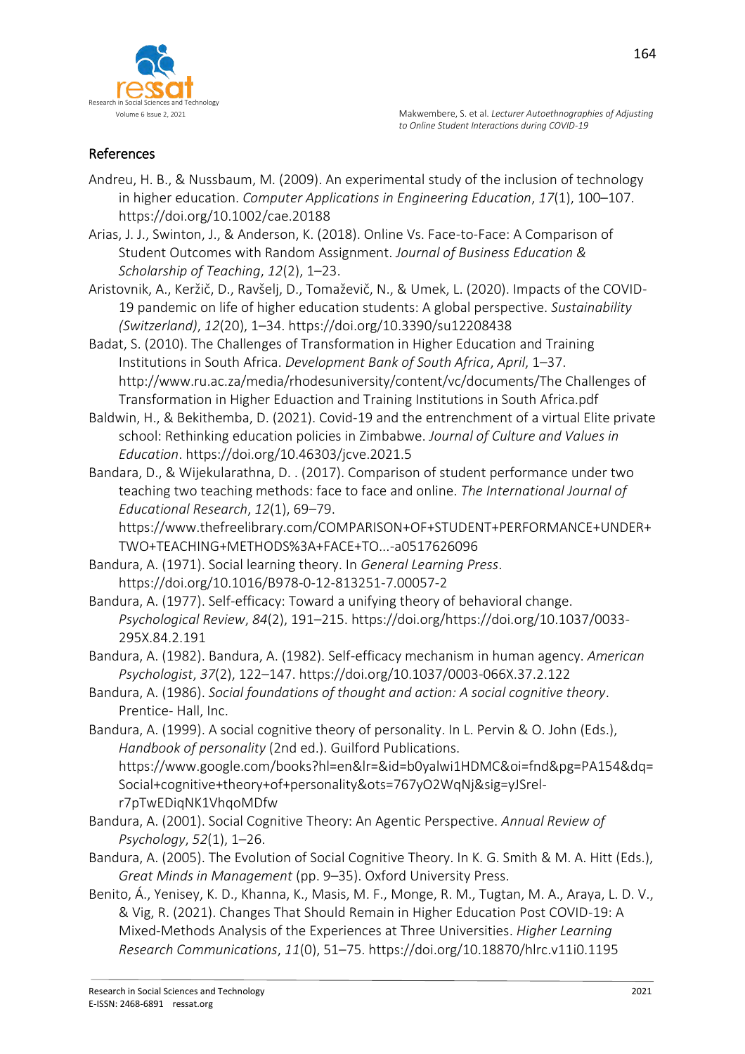## References

- Andreu, H. B., & Nussbaum, M. (2009). An experimental study of the inclusion of technology in higher education. *Computer Applications in Engineering Education*, *17*(1), 100–107. https://doi.org/10.1002/cae.20188
- Arias, J. J., Swinton, J., & Anderson, K. (2018). Online Vs. Face-to-Face: A Comparison of Student Outcomes with Random Assignment. *Journal of Business Education & Scholarship of Teaching*, *12*(2), 1–23.
- Aristovnik, A., Keržič, D., Ravšelj, D., Tomaževič, N., & Umek, L. (2020). Impacts of the COVID-19 pandemic on life of higher education students: A global perspective. *Sustainability (Switzerland)*, *12*(20), 1–34. https://doi.org/10.3390/su12208438
- Badat, S. (2010). The Challenges of Transformation in Higher Education and Training Institutions in South Africa. *Development Bank of South Africa*, *April*, 1–37. http://www.ru.ac.za/media/rhodesuniversity/content/vc/documents/The Challenges of Transformation in Higher Eduaction and Training Institutions in South Africa.pdf
- Baldwin, H., & Bekithemba, D. (2021). Covid-19 and the entrenchment of a virtual Elite private school: Rethinking education policies in Zimbabwe. *Journal of Culture and Values in Education*. https://doi.org/10.46303/jcve.2021.5
- Bandara, D., & Wijekularathna, D. . (2017). Comparison of student performance under two teaching two teaching methods: face to face and online. *The International Journal of Educational Research*, *12*(1), 69–79.

https://www.thefreelibrary.com/COMPARISON+OF+STUDENT+PERFORMANCE+UNDER+ TWO+TEACHING+METHODS%3A+FACE+TO...-a0517626096

- Bandura, A. (1971). Social learning theory. In *General Learning Press*. https://doi.org/10.1016/B978-0-12-813251-7.00057-2
- Bandura, A. (1977). Self-efficacy: Toward a unifying theory of behavioral change. *Psychological Review*, *84*(2), 191–215. https://doi.org/https://doi.org/10.1037/0033- 295X.84.2.191
- Bandura, A. (1982). Bandura, A. (1982). Self-efficacy mechanism in human agency. *American Psychologist*, *37*(2), 122–147. https://doi.org/10.1037/0003-066X.37.2.122
- Bandura, A. (1986). *Social foundations of thought and action: A social cognitive theory*. Prentice- Hall, Inc.
- Bandura, A. (1999). A social cognitive theory of personality. In L. Pervin & O. John (Eds.), *Handbook of personality* (2nd ed.). Guilford Publications. https://www.google.com/books?hl=en&lr=&id=b0yalwi1HDMC&oi=fnd&pg=PA154&dq= Social+cognitive+theory+of+personality&ots=767yO2WqNj&sig=yJSrelr7pTwEDiqNK1VhqoMDfw
- Bandura, A. (2001). Social Cognitive Theory: An Agentic Perspective. *Annual Review of Psychology*, *52*(1), 1–26.
- Bandura, A. (2005). The Evolution of Social Cognitive Theory. In K. G. Smith & M. A. Hitt (Eds.), *Great Minds in Management* (pp. 9–35). Oxford University Press.
- Benito, Á., Yenisey, K. D., Khanna, K., Masis, M. F., Monge, R. M., Tugtan, M. A., Araya, L. D. V., & Vig, R. (2021). Changes That Should Remain in Higher Education Post COVID-19: A Mixed-Methods Analysis of the Experiences at Three Universities. *Higher Learning Research Communications*, *11*(0), 51–75. https://doi.org/10.18870/hlrc.v11i0.1195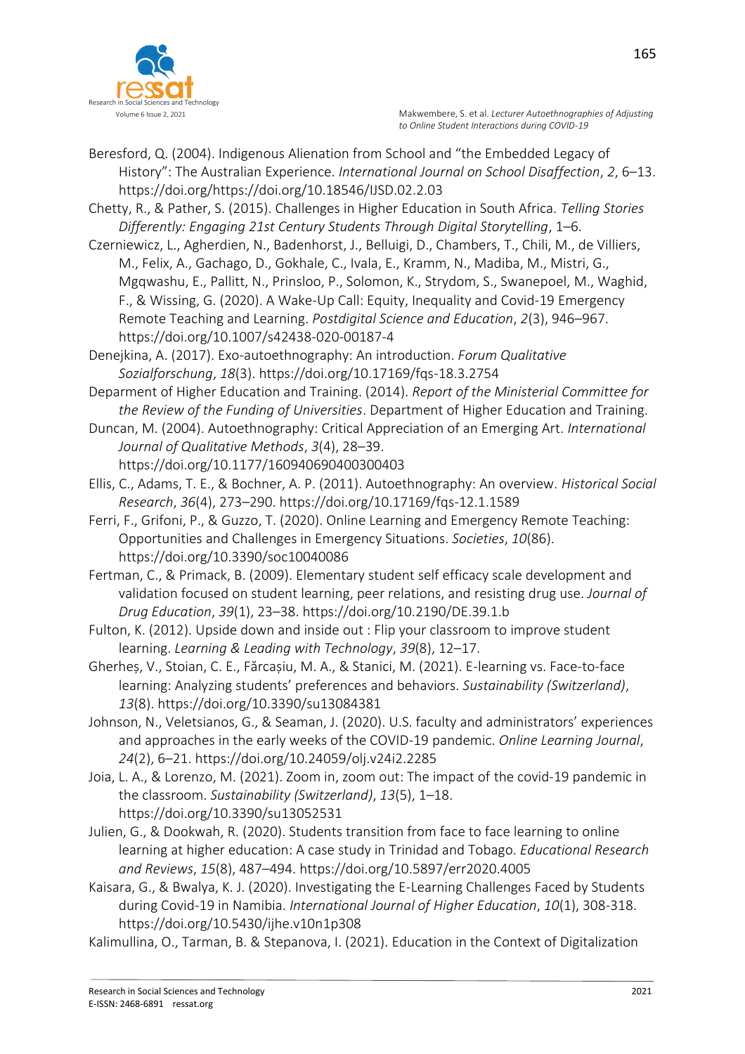

- Beresford, Q. (2004). Indigenous Alienation from School and "the Embedded Legacy of History": The Australian Experience. *International Journal on School Disaffection*, *2*, 6–13. https://doi.org/https://doi.org/10.18546/IJSD.02.2.03
- Chetty, R., & Pather, S. (2015). Challenges in Higher Education in South Africa. *Telling Stories Differently: Engaging 21st Century Students Through Digital Storytelling*, 1–6.
- Czerniewicz, L., Agherdien, N., Badenhorst, J., Belluigi, D., Chambers, T., Chili, M., de Villiers, M., Felix, A., Gachago, D., Gokhale, C., Ivala, E., Kramm, N., Madiba, M., Mistri, G., Mgqwashu, E., Pallitt, N., Prinsloo, P., Solomon, K., Strydom, S., Swanepoel, M., Waghid, F., & Wissing, G. (2020). A Wake-Up Call: Equity, Inequality and Covid-19 Emergency Remote Teaching and Learning. *Postdigital Science and Education*, *2*(3), 946–967. https://doi.org/10.1007/s42438-020-00187-4
- Denejkina, A. (2017). Exo-autoethnography: An introduction. *Forum Qualitative Sozialforschung*, *18*(3). https://doi.org/10.17169/fqs-18.3.2754
- Deparment of Higher Education and Training. (2014). *Report of the Ministerial Committee for the Review of the Funding of Universities*. Department of Higher Education and Training.
- Duncan, M. (2004). Autoethnography: Critical Appreciation of an Emerging Art. *International Journal of Qualitative Methods*, *3*(4), 28–39. https://doi.org/10.1177/160940690400300403
- Ellis, C., Adams, T. E., & Bochner, A. P. (2011). Autoethnography: An overview. *Historical Social Research*, *36*(4), 273–290. https://doi.org/10.17169/fqs-12.1.1589
- Ferri, F., Grifoni, P., & Guzzo, T. (2020). Online Learning and Emergency Remote Teaching: Opportunities and Challenges in Emergency Situations. *Societies*, *10*(86). https://doi.org/10.3390/soc10040086
- Fertman, C., & Primack, B. (2009). Elementary student self efficacy scale development and validation focused on student learning, peer relations, and resisting drug use. *Journal of Drug Education*, *39*(1), 23–38. https://doi.org/10.2190/DE.39.1.b
- Fulton, K. (2012). Upside down and inside out : Flip your classroom to improve student learning. *Learning & Leading with Technology*, *39*(8), 12–17.
- Gherheș, V., Stoian, C. E., Fărcașiu, M. A., & Stanici, M. (2021). E-learning vs. Face-to-face learning: Analyzing students' preferences and behaviors. *Sustainability (Switzerland)*, *13*(8). https://doi.org/10.3390/su13084381
- Johnson, N., Veletsianos, G., & Seaman, J. (2020). U.S. faculty and administrators' experiences and approaches in the early weeks of the COVID-19 pandemic. *Online Learning Journal*, *24*(2), 6–21. https://doi.org/10.24059/olj.v24i2.2285
- Joia, L. A., & Lorenzo, M. (2021). Zoom in, zoom out: The impact of the covid-19 pandemic in the classroom. *Sustainability (Switzerland)*, *13*(5), 1–18. https://doi.org/10.3390/su13052531
- Julien, G., & Dookwah, R. (2020). Students transition from face to face learning to online learning at higher education: A case study in Trinidad and Tobago. *Educational Research and Reviews*, *15*(8), 487–494. https://doi.org/10.5897/err2020.4005
- Kaisara, G., & Bwalya, K. J. (2020). Investigating the E-Learning Challenges Faced by Students during Covid-19 in Namibia. *International Journal of Higher Education*, *10*(1), 308-318. https://doi.org/10.5430/ijhe.v10n1p308
- Kalimullina, O., Tarman, B. & Stepanova, I. (2021). Education in the Context of Digitalization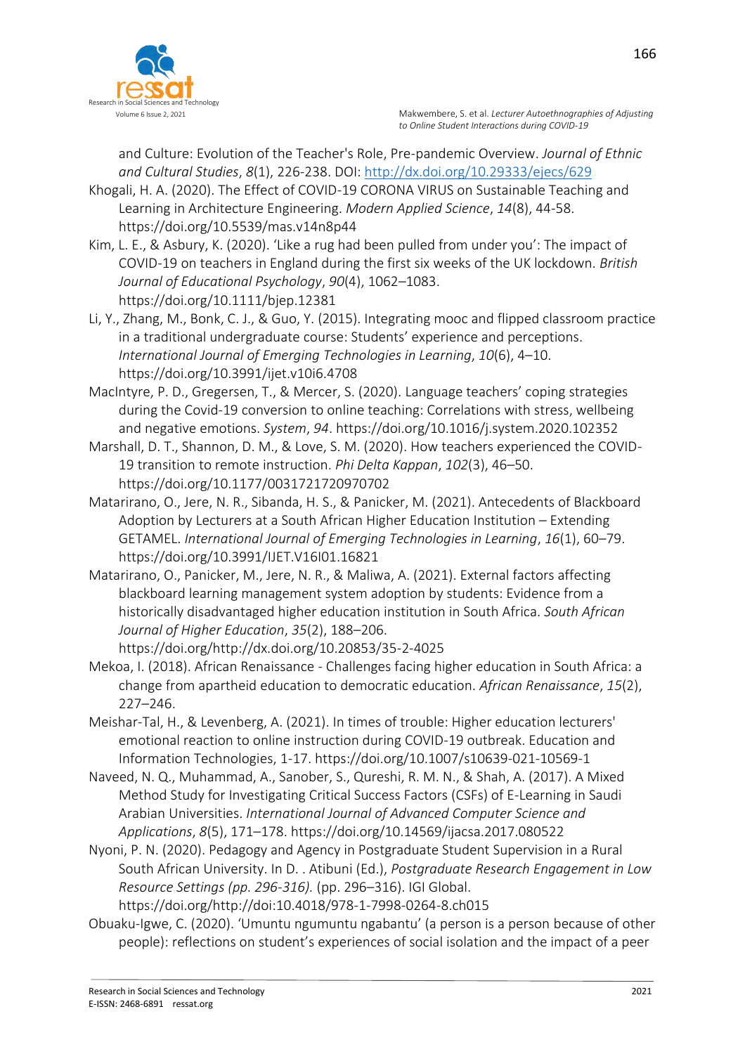

and Culture: Evolution of the Teacher's Role, Pre-pandemic Overview. *Journal of Ethnic and Cultural Studies*, *8*(1), 226-238. DOI: <http://dx.doi.org/10.29333/ejecs/629>

Khogali, H. A. (2020). The Effect of COVID-19 CORONA VIRUS on Sustainable Teaching and Learning in Architecture Engineering. *Modern Applied Science*, *14*(8), 44-58. https://doi.org/10.5539/mas.v14n8p44

Kim, L. E., & Asbury, K. (2020). 'Like a rug had been pulled from under you': The impact of COVID-19 on teachers in England during the first six weeks of the UK lockdown. *British Journal of Educational Psychology*, *90*(4), 1062–1083. https://doi.org/10.1111/bjep.12381

Li, Y., Zhang, M., Bonk, C. J., & Guo, Y. (2015). Integrating mooc and flipped classroom practice in a traditional undergraduate course: Students' experience and perceptions. *International Journal of Emerging Technologies in Learning*, *10*(6), 4–10. https://doi.org/10.3991/ijet.v10i6.4708

MacIntyre, P. D., Gregersen, T., & Mercer, S. (2020). Language teachers' coping strategies during the Covid-19 conversion to online teaching: Correlations with stress, wellbeing and negative emotions. *System*, *94*. https://doi.org/10.1016/j.system.2020.102352

Marshall, D. T., Shannon, D. M., & Love, S. M. (2020). How teachers experienced the COVID-19 transition to remote instruction. *Phi Delta Kappan*, *102*(3), 46–50. https://doi.org/10.1177/0031721720970702

Matarirano, O., Jere, N. R., Sibanda, H. S., & Panicker, M. (2021). Antecedents of Blackboard Adoption by Lecturers at a South African Higher Education Institution – Extending GETAMEL. *International Journal of Emerging Technologies in Learning*, *16*(1), 60–79. https://doi.org/10.3991/IJET.V16I01.16821

Matarirano, O., Panicker, M., Jere, N. R., & Maliwa, A. (2021). External factors affecting blackboard learning management system adoption by students: Evidence from a historically disadvantaged higher education institution in South Africa. *South African Journal of Higher Education*, *35*(2), 188–206. https://doi.org/http://dx.doi.org/10.20853/35-2-4025

Mekoa, I. (2018). African Renaissance - Challenges facing higher education in South Africa: a change from apartheid education to democratic education. *African Renaissance*, *15*(2), 227–246.

Meishar-Tal, H., & Levenberg, A. (2021). In times of trouble: Higher education lecturers' emotional reaction to online instruction during COVID-19 outbreak. Education and Information Technologies, 1-17. https://doi.org/10.1007/s10639-021-10569-1

Naveed, N. Q., Muhammad, A., Sanober, S., Qureshi, R. M. N., & Shah, A. (2017). A Mixed Method Study for Investigating Critical Success Factors (CSFs) of E-Learning in Saudi Arabian Universities. *International Journal of Advanced Computer Science and Applications*, *8*(5), 171–178. https://doi.org/10.14569/ijacsa.2017.080522

Nyoni, P. N. (2020). Pedagogy and Agency in Postgraduate Student Supervision in a Rural South African University. In D. . Atibuni (Ed.), *Postgraduate Research Engagement in Low Resource Settings (pp. 296-316).* (pp. 296–316). IGI Global. https://doi.org/http://doi:10.4018/978-1-7998-0264-8.ch015

Obuaku-Igwe, C. (2020). 'Umuntu ngumuntu ngabantu' (a person is a person because of other people): reflections on student's experiences of social isolation and the impact of a peer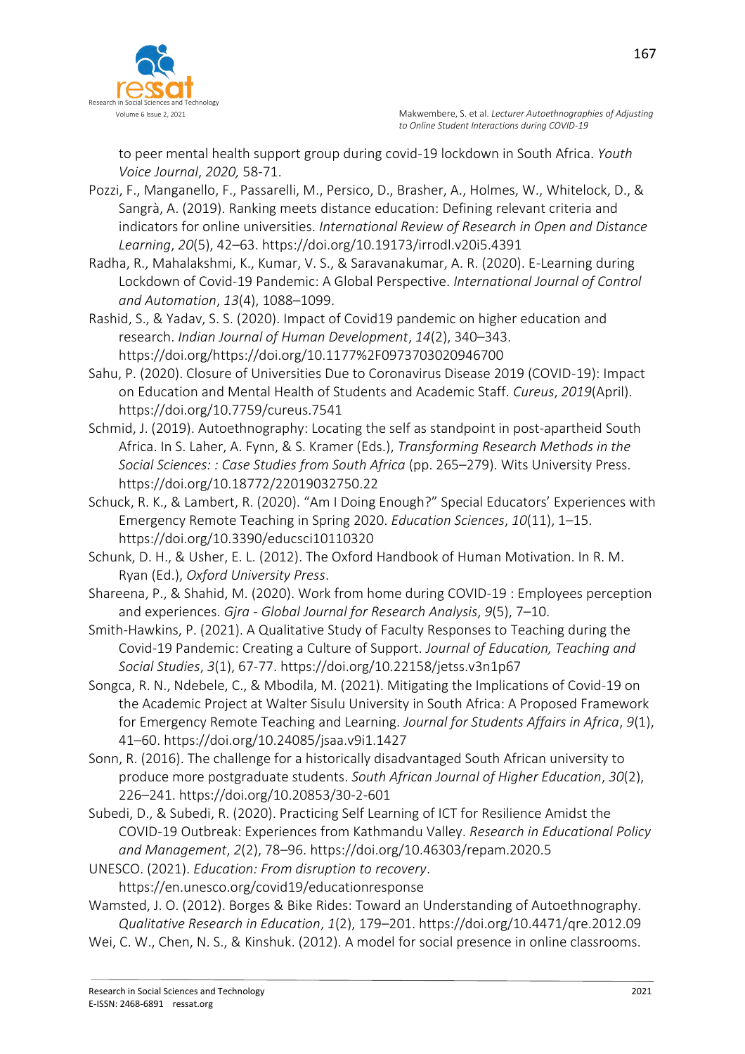

167

to peer mental health support group during covid-19 lockdown in South Africa. *Youth Voice Journal*, *2020,* 58-71.

- Pozzi, F., Manganello, F., Passarelli, M., Persico, D., Brasher, A., Holmes, W., Whitelock, D., & Sangrà, A. (2019). Ranking meets distance education: Defining relevant criteria and indicators for online universities. *International Review of Research in Open and Distance Learning*, *20*(5), 42–63. https://doi.org/10.19173/irrodl.v20i5.4391
- Radha, R., Mahalakshmi, K., Kumar, V. S., & Saravanakumar, A. R. (2020). E-Learning during Lockdown of Covid-19 Pandemic: A Global Perspective. *International Journal of Control and Automation*, *13*(4), 1088–1099.
- Rashid, S., & Yadav, S. S. (2020). Impact of Covid19 pandemic on higher education and research. *Indian Journal of Human Development*, *14*(2), 340–343. https://doi.org/https://doi.org/10.1177%2F0973703020946700
- Sahu, P. (2020). Closure of Universities Due to Coronavirus Disease 2019 (COVID-19): Impact on Education and Mental Health of Students and Academic Staff. *Cureus*, *2019*(April). https://doi.org/10.7759/cureus.7541
- Schmid, J. (2019). Autoethnography: Locating the self as standpoint in post-apartheid South Africa. In S. Laher, A. Fynn, & S. Kramer (Eds.), *Transforming Research Methods in the Social Sciences: : Case Studies from South Africa* (pp. 265–279). Wits University Press. https://doi.org/10.18772/22019032750.22
- Schuck, R. K., & Lambert, R. (2020). "Am I Doing Enough?" Special Educators' Experiences with Emergency Remote Teaching in Spring 2020. *Education Sciences*, *10*(11), 1–15. https://doi.org/10.3390/educsci10110320
- Schunk, D. H., & Usher, E. L. (2012). The Oxford Handbook of Human Motivation. In R. M. Ryan (Ed.), *Oxford University Press*.
- Shareena, P., & Shahid, M. (2020). Work from home during COVID-19 : Employees perception and experiences. *Gjra - Global Journal for Research Analysis*, *9*(5), 7–10.
- Smith-Hawkins, P. (2021). A Qualitative Study of Faculty Responses to Teaching during the Covid-19 Pandemic: Creating a Culture of Support. *Journal of Education, Teaching and Social Studies*, *3*(1), 67-77. https://doi.org/10.22158/jetss.v3n1p67
- Songca, R. N., Ndebele, C., & Mbodila, M. (2021). Mitigating the Implications of Covid‐19 on the Academic Project at Walter Sisulu University in South Africa: A Proposed Framework for Emergency Remote Teaching and Learning. *Journal for Students Affairs in Africa*, *9*(1), 41–60. https://doi.org/10.24085/jsaa.v9i1.1427
- Sonn, R. (2016). The challenge for a historically disadvantaged South African university to produce more postgraduate students. *South African Journal of Higher Education*, *30*(2), 226–241. https://doi.org/10.20853/30-2-601
- Subedi, D., & Subedi, R. (2020). Practicing Self Learning of ICT for Resilience Amidst the COVID-19 Outbreak: Experiences from Kathmandu Valley. *Research in Educational Policy and Management*, *2*(2), 78–96. https://doi.org/10.46303/repam.2020.5
- UNESCO. (2021). *Education: From disruption to recovery*. https://en.unesco.org/covid19/educationresponse
- Wamsted, J. O. (2012). Borges & Bike Rides: Toward an Understanding of Autoethnography. *Qualitative Research in Education*, *1*(2), 179–201. https://doi.org/10.4471/qre.2012.09
- Wei, C. W., Chen, N. S., & Kinshuk. (2012). A model for social presence in online classrooms.